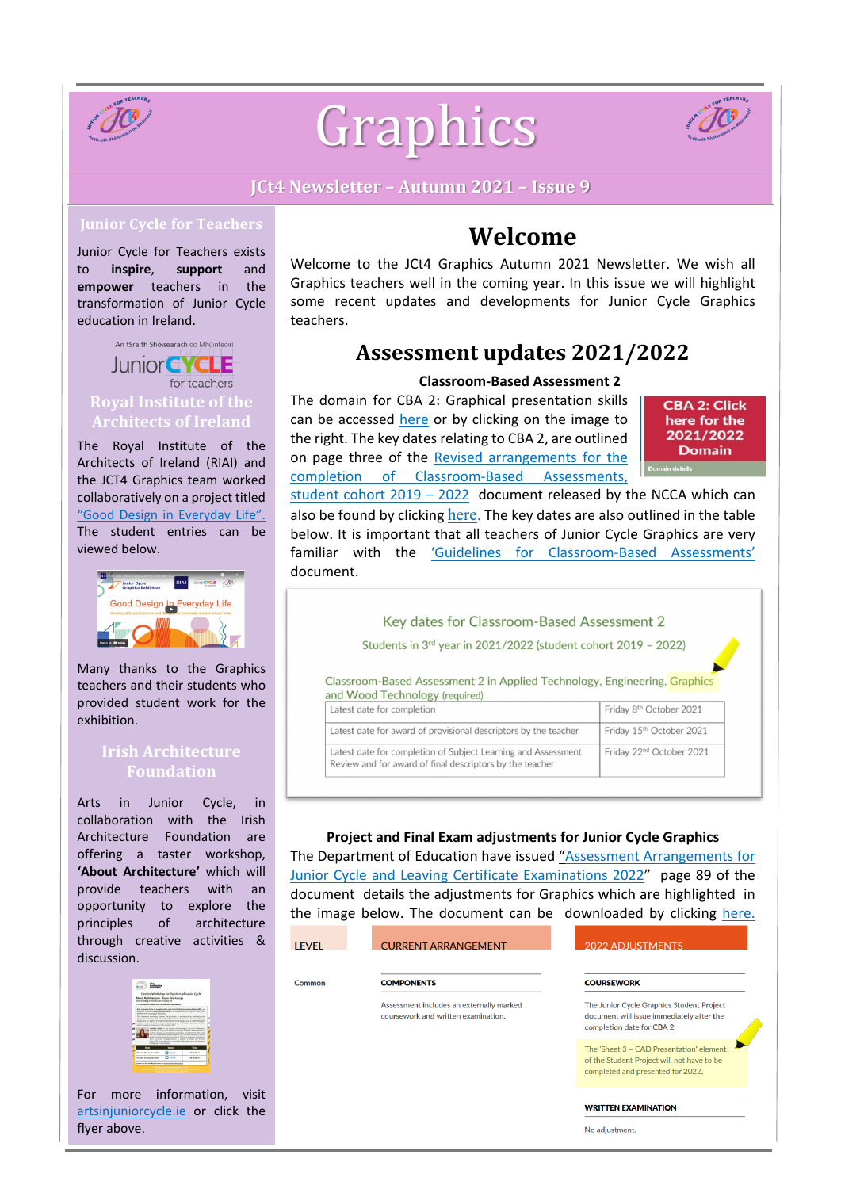

# Graphics



#### **JCt4 Newsletter – Autumn 2021 – Issue 9**

Junior Cycle for Teachers exists to **inspire**, **support** and **empower** teachers in the transformation of Junior Cycle education in Ireland.

An tSraith Shóisearach do Mhúinteoirí Junior **EYCLE** for teachers **Royal Institute of the Architects of Ireland**

The Royal Institute of the Architects of Ireland (RIAI) and the JCT4 Graphics team worked collaboratively on a project titled ["Good Design](https://juniorcycle.us9.list-manage.com/track/click?u=127fd131486ae7bd295cdba56&id=f910fed7ee&e=2921e896bd) in Everyday Life". The student entries can be viewed below.



Many thanks to the Graphics teachers and their students who provided student work for the exhibition.

#### **Irish Architecture Foundation**

Arts in Junior Cycle, in collaboration with the Irish Architecture Foundation are offering a taster workshop, **'About Architecture'** which will provide teachers with an opportunity to explore the principles of architecture through creative activities & discussion.



For more information, visit [artsinjuniorcycle.ie](https://www.artsinjuniorcycle.ie/) or click the flyer above.

# **Welcome**

Welcome to the JCt4 Graphics Autumn 2021 Newsletter. We wish all Graphics teachers well in the coming year. In this issue we will highlight some recent updates and developments for Junior Cycle Graphics teachers.

# **Assessment updates 2021/2022**

#### **Classroom-Based Assessment 2**

The domain for CBA 2: Graphical presentation skills can be accessed [here](https://www.curriculumonline.ie/Junior-cycle/Junior-Cycle-Subjects/Graphics/) or by clicking on the image to the right. The key dates relating to CBA 2, are outlined on page three of the [Revised arrangements](https://ncca.ie/media/5144/cba-revised-arrangements_06092021_en.pdf) for the completion of [Classroom-Based](https://ncca.ie/media/5144/cba-revised-arrangements_06092021_en.pdf) Assessments,

**CBA 2: Click** here for the 2021/2022 **Domain** 

student cohort [2019 – 2022](https://ncca.ie/media/5144/cba-revised-arrangements_06092021_en.pdf) document released by the NCCA which can also be found by clicking [here.](https://ncca.ie/media/5144/cba-revised-arrangements_06092021_en.pdf) The key dates are also outlined in the table below. It is important that all teachers of Junior Cycle Graphics are very familiar with the ['Guidelines for Classroom-Based](https://www.curriculumonline.ie/getmedia/5786eebe-1e74-4661-ba29-66b6968db6a4/Graphics-AG.pdf) Assessments' document.

Key dates for Classroom-Based Assessment 2

Students in 3rd year in 2021/2022 (student cohort 2019 - 2022)

Classroom-Based Assessment 2 in Applied Technology, Engineering, Graphics and Wood Technology (required)

| Latest date for completion                                                                                                | Friday 8 <sup>th</sup> October 2021  |
|---------------------------------------------------------------------------------------------------------------------------|--------------------------------------|
| Latest date for award of provisional descriptors by the teacher                                                           | Friday 15th October 2021             |
| Latest date for completion of Subject Learning and Assessment<br>Review and for award of final descriptors by the teacher | Friday 22 <sup>nd</sup> October 2021 |

#### **Project and Final Exam adjustments for Junior Cycle Graphics**

The Department of Education have issued "Assessment [Arrangements](https://www.gov.ie/en/publication/9c82d-leaving-certificate-2022/) for Junior Cycle [and Leaving Certificate](https://www.gov.ie/en/publication/9c82d-leaving-certificate-2022/) Examinations 2022" page 89 of the document details the adjustments for Graphics which are highlighted in the image below. The document can be downloaded by clicking [here.](https://www.gov.ie/en/publication/7f42a-assessment-arrangements-for-junior-and-leaving-certificate-2022/)

| Common                                                                          | <b>COMPONENTS</b>                                                                                                           | <b>COURSEWORK</b>                                                                                                    |
|---------------------------------------------------------------------------------|-----------------------------------------------------------------------------------------------------------------------------|----------------------------------------------------------------------------------------------------------------------|
| Assessment includes an externally marked<br>coursework and written examination. |                                                                                                                             | The Junior Cycle Graphics Student Project<br>document will issue immediately after the<br>completion date for CBA 2. |
|                                                                                 | The 'Sheet 3 - CAD Presentation' element<br>of the Student Project will not have to be<br>completed and presented for 2022. |                                                                                                                      |

**WRITTEN EXAMINATION** 

No adjustment.